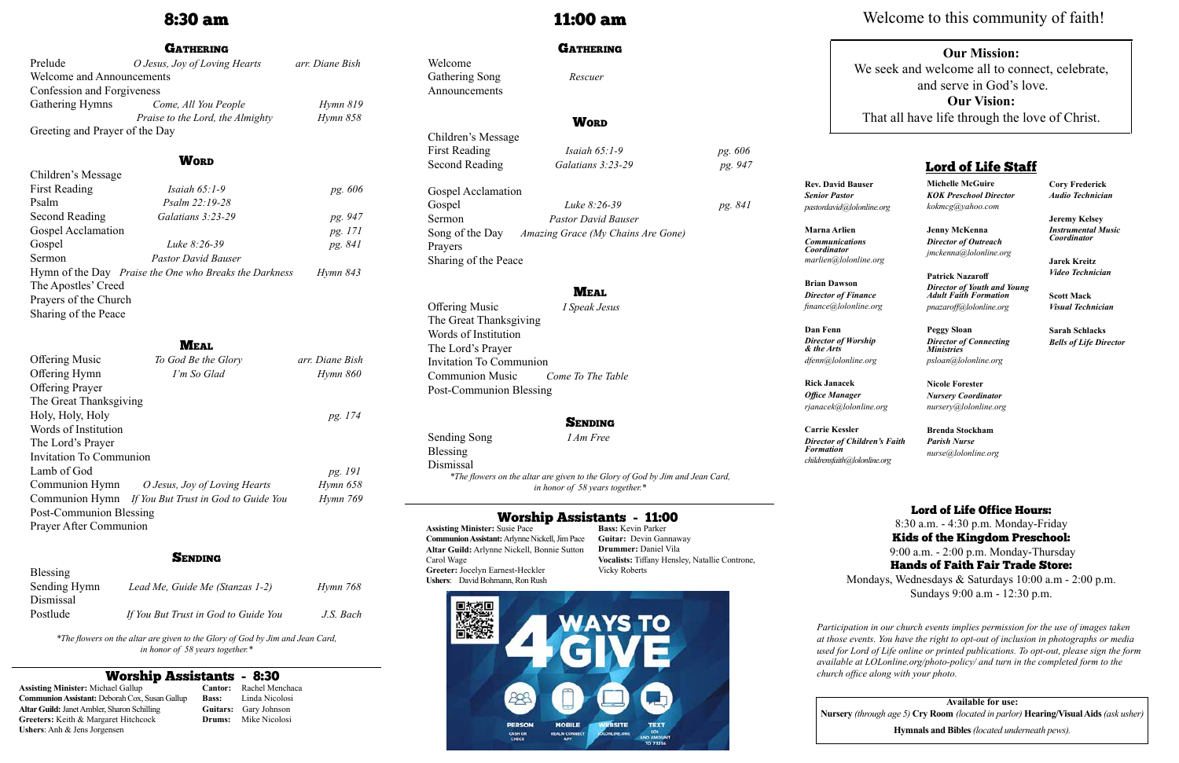## 8:30 am

### **GATHERING**

| Prelude                          | O Jesus, Joy of Loving Hearts    | arr. Diane Bish |  |  |  |
|----------------------------------|----------------------------------|-----------------|--|--|--|
| <b>Welcome and Announcements</b> |                                  |                 |  |  |  |
| Confession and Forgiveness       |                                  |                 |  |  |  |
| Gathering Hymns                  | Come, All You People             | Hymn 819        |  |  |  |
|                                  | Praise to the Lord, the Almighty | Hymn 858        |  |  |  |
| Greeting and Prayer of the Day   |                                  |                 |  |  |  |

### **WORD**

 $C<sup>1</sup>$ .  $1.4$ 

| CHILLELL S IVIESSAGE  |                                                        |          |
|-----------------------|--------------------------------------------------------|----------|
| <b>First Reading</b>  | Isaiah $65:1-9$                                        | pg. 606  |
| Psalm                 | Psalm 22:19-28                                         |          |
| Second Reading        | Galatians $3:23-29$                                    | pg. 947  |
| Gospel Acclamation    |                                                        | pg. 171  |
| Gospel                | Luke $8:26-39$                                         | pg. 841  |
| Sermon                | <b>Pastor David Bauser</b>                             |          |
|                       | Hymn of the Day Praise the One who Breaks the Darkness | Hymn 843 |
| The Apostles' Creed   |                                                        |          |
| Prayers of the Church |                                                        |          |
| Sharing of the Peace  |                                                        |          |

### **MEAL**

Children's Message First Reading *Isaiah 65:1-9 pg. 606* Second Reading *Galatians 3:23-29 pg. 947* Gospel Acclamation Gospel *Luke 8:26-39 pg. 841* 

| <b>Offering Music</b>          | To God Be the Glory                                 | arr. Diane Bish |
|--------------------------------|-----------------------------------------------------|-----------------|
| Offering Hymn                  | I'm So Glad                                         | Hymn 860        |
| <b>Offering Prayer</b>         |                                                     |                 |
| The Great Thanksgiving         |                                                     |                 |
| Holy, Holy, Holy               |                                                     | pg. 174         |
| Words of Institution           |                                                     |                 |
| The Lord's Prayer              |                                                     |                 |
| <b>Invitation To Communion</b> |                                                     |                 |
| Lamb of God                    |                                                     | pg. 191         |
|                                | Communion Hymn O Jesus, Joy of Loving Hearts        | Hymn 658        |
|                                | Communion Hymn If You But Trust in God to Guide You | Hymn 769        |
| Post-Communion Blessing        |                                                     |                 |
| Prayer After Communion         |                                                     |                 |
|                                |                                                     |                 |

### **SENDING**

| Blessing     |                                      |           |
|--------------|--------------------------------------|-----------|
| Sending Hymn | Lead Me, Guide Me (Stanzas 1-2)      | Hymn 768  |
| Dismissal    |                                      |           |
| Postlude     | If You But Trust in God to Guide You | J.S. Bach |

*\*The flowers on the altar are given to the Glory of God by Jim and Jean Card, in honor of 58 years together.\**

# **Worship Assistants - 8:30**<br>nael Gallup **Cantor:** Rachel Mer

## 11:00 am

### **GATHERING**

Welcome

Gathering Song *Rescuer*

## **WORD**

Announcements

### **SENDING**

Sermon *Pastor David Bauser* Song of the Day *Amazing Grace (My Chains Are Gone)* Prayers Sharing of the Peace

### **MEAL**

Offering Music *I Speak Jesus* The Great Thanksgiving Words of Institution The Lord's Prayer Invitation To Communion Communion Music *Come To The Table* Post-Communion Blessing

Sending Song*I Am Free*

Blessing

Dismissal *\*The flowers on the altar are given to the Glory of God by Jim and Jean Card, in honor of 58 years together.\**

**Assisting Minister:** Michael Gallup **Communion Assistant:** Deborah Cox, Susan Gallup **Altar Guild:** Janet Ambler, Sharon Schilling **Greeters:** Keith & Margaret Hitchcock **Ushers**: Anh & Jens Jorgensen

**Cantor:** Rachel Menchaca **Bass:** Linda Nicolosi **Guitars:** Gary Johnson **Drums:** Mike Nicolosi

## Worship Assistants - 11:00

**Assisting Minister:** Susie Pace **Communion Assistant:** Arlynne Nickell, Jim Pace **Altar Guild:** Arlynne Nickell, Bonnie Sutton Carol Wage **Greeter:** Jocelyn Earnest-Heckler **Ushers**: David Bohmann, Ron Rush

**Bass:** Kevin Parker **Guitar:** Devin Gannaway **Drummer:** Daniel Vila **Vocalists:** Tiffany Hensley, Natallie Controne, Vicky Roberts



**Rev. David Bauser** *Senior Pastor pastordavid@lolonline.org*

**Marna Arlien** *Communications Coordinator marlien@lolonline.org*

**Brian Dawson** *Director of Finance finance@lolonline.org*

**Dan Fenn** *Director of Worship & the Arts dfenn@lolonline.org*

**Rick Janacek** *Office Manager rjanacek@lolonline.org*

**Carrie Kessler** *Director of Children's Faith Formation childrensfaith@lolonline.org*

**Michelle McGuire** *KOK Preschool Director kokmcg@yahoo.com*

**Jenny McKenna**  *Director of Outreach jmckenna@lolonline.org*

**Patrick Nazaroff** *Director of Youth and Young Adult Faith Formation pnazaroff@lolonline.org*

**Peggy Sloan**  *Director of Connecting Ministries psloan@lolonline.org*

**Nicole Forester** *Nursery Coordinator nursery@lolonline.org*

**Brenda Stockham** *Parish Nurse nurse@lolonline.org* **Cory Frederick** *Audio Technician*

**Jeremy Kelsey** *Instrumental Music Coordinator*

**Jarek Kreitz** *Video Technician*

**Scott Mack** *Visual Technician*

**Sarah Schlacks** *Bells of Life Director*

## Lord of Life Staff

**Available for use: Nursery** *(through age 5)* **Cry Room** *(located in parlor)* **Hearing/Visual Aids** *(ask usher)*

**Hymnals and Bibles** *(located underneath pews).*

## **Our Mission:**

We seek and welcome all to connect, celebrate, and serve in God's love. **Our Vision:**

That all have life through the love of Christ.

*Participation in our church events implies permission for the use of images taken at those events. You have the right to opt-out of inclusion in photographs or media used for Lord of Life online or printed publications. To opt-out, please sign the form available at LOLonline.org/photo-policy/ and turn in the completed form to the church office along with your photo.*

## Lord of Life Office Hours:

8:30 a.m. - 4:30 p.m. Monday-Friday Kids of the Kingdom Preschool: 9:00 a.m. - 2:00 p.m. Monday-Thursday Hands of Faith Fair Trade Store:

Mondays, Wednesdays & Saturdays 10:00 a.m - 2:00 p.m. Sundays 9:00 a.m - 12:30 p.m.

# Welcome to this community of faith!